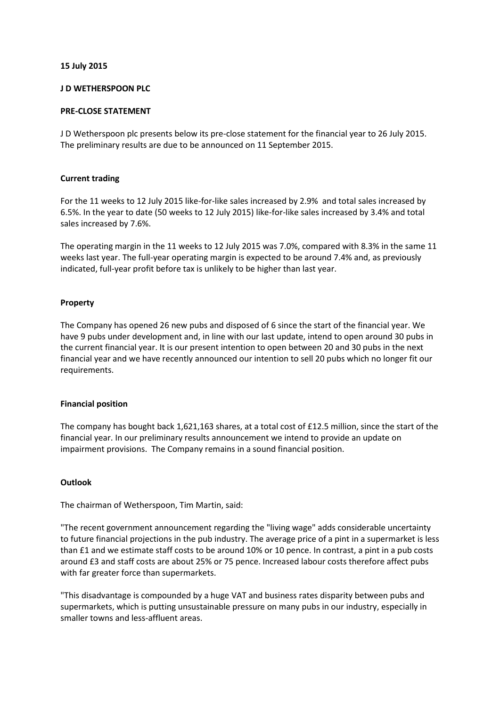# **15 July 2015**

# **J D WETHERSPOON PLC**

## **PRE-CLOSE STATEMENT**

J D Wetherspoon plc presents below its pre-close statement for the financial year to 26 July 2015. The preliminary results are due to be announced on 11 September 2015.

# **Current trading**

For the 11 weeks to 12 July 2015 like-for-like sales increased by 2.9% and total sales increased by 6.5%. In the year to date (50 weeks to 12 July 2015) like-for-like sales increased by 3.4% and total sales increased by 7.6%.

The operating margin in the 11 weeks to 12 July 2015 was 7.0%, compared with 8.3% in the same 11 weeks last year. The full-year operating margin is expected to be around 7.4% and, as previously indicated, full-year profit before tax is unlikely to be higher than last year.

## **Property**

The Company has opened 26 new pubs and disposed of 6 since the start of the financial year. We have 9 pubs under development and, in line with our last update, intend to open around 30 pubs in the current financial year. It is our present intention to open between 20 and 30 pubs in the next financial year and we have recently announced our intention to sell 20 pubs which no longer fit our requirements.

#### **Financial position**

The company has bought back 1,621,163 shares, at a total cost of £12.5 million, since the start of the financial year. In our preliminary results announcement we intend to provide an update on impairment provisions. The Company remains in a sound financial position.

#### **Outlook**

The chairman of Wetherspoon, Tim Martin, said:

"The recent government announcement regarding the "living wage" adds considerable uncertainty to future financial projections in the pub industry. The average price of a pint in a supermarket is less than £1 and we estimate staff costs to be around 10% or 10 pence. In contrast, a pint in a pub costs around £3 and staff costs are about 25% or 75 pence. Increased labour costs therefore affect pubs with far greater force than supermarkets.

"This disadvantage is compounded by a huge VAT and business rates disparity between pubs and supermarkets, which is putting unsustainable pressure on many pubs in our industry, especially in smaller towns and less-affluent areas.